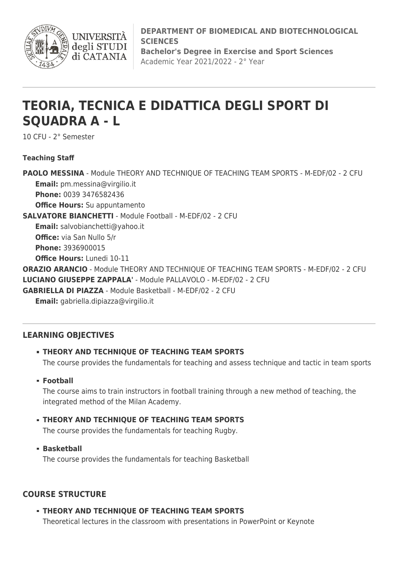

**INIVERSIT** degli STUDI di CATANIA

**DEPARTMENT OF BIOMEDICAL AND BIOTECHNOLOGICAL SCIENCES**

**Bachelor's Degree in Exercise and Sport Sciences** Academic Year 2021/2022 - 2° Year

# **TEORIA, TECNICA E DIDATTICA DEGLI SPORT DI SQUADRA A - L**

10 CFU - 2° Semester

## **Teaching Staff**

**PAOLO MESSINA** - Module THEORY AND TECHNIQUE OF TEACHING TEAM SPORTS - M-EDF/02 - 2 CFU **Email:** [pm.messina@virgilio.it](mailto:pm.messina@virgilio.it) **Phone:** 0039 3476582436 **Office Hours:** Su appuntamento **SALVATORE BIANCHETTI** - Module Football - M-EDF/02 - 2 CFU **Email:** [salvobianchetti@yahoo.it](mailto:salvobianchetti@yahoo.it) **Office:** via San Nullo 5/r **Phone:** 3936900015 **Office Hours:** Lunedi 10-11 **ORAZIO ARANCIO** - Module THEORY AND TECHNIQUE OF TEACHING TEAM SPORTS - M-EDF/02 - 2 CFU **LUCIANO GIUSEPPE ZAPPALA'** - Module PALLAVOLO - M-EDF/02 - 2 CFU **GABRIELLA DI PIAZZA** - Module Basketball - M-EDF/02 - 2 CFU **Email:** [gabriella.dipiazza@virgilio.it](mailto:gabriella.dipiazza@virgilio.it)

# **LEARNING OBJECTIVES**

# **THEORY AND TECHNIQUE OF TEACHING TEAM SPORTS**

The course provides the fundamentals for teaching and assess technique and tactic in team sports

**Football**

The course aims to train instructors in football training through a new method of teaching, the integrated method of the Milan Academy.

# **THEORY AND TECHNIQUE OF TEACHING TEAM SPORTS**

The course provides the fundamentals for teaching Rugby.

**Basketball**

The course provides the fundamentals for teaching Basketball

# **COURSE STRUCTURE**

**THEORY AND TECHNIQUE OF TEACHING TEAM SPORTS**

Theoretical lectures in the classroom with presentations in PowerPoint or Keynote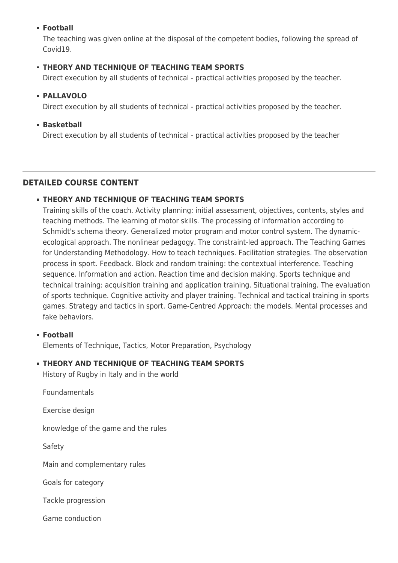## **Football**

The teaching was given online at the disposal of the competent bodies, following the spread of Covid19.

## **THEORY AND TECHNIQUE OF TEACHING TEAM SPORTS**

Direct execution by all students of technical - practical activities proposed by the teacher.

#### **PALLAVOLO**

Direct execution by all students of technical - practical activities proposed by the teacher.

#### **Basketball**

Direct execution by all students of technical - practical activities proposed by the teacher

#### **DETAILED COURSE CONTENT**

#### **THEORY AND TECHNIQUE OF TEACHING TEAM SPORTS**

Training skills of the coach. Activity planning: initial assessment, objectives, contents, styles and teaching methods. The learning of motor skills. The processing of information according to Schmidt's schema theory. Generalized motor program and motor control system. The dynamicecological approach. The nonlinear pedagogy. The constraint-led approach. The Teaching Games for Understanding Methodology. How to teach techniques. Facilitation strategies. The observation process in sport. Feedback. Block and random training: the contextual interference. Teaching sequence. Information and action. Reaction time and decision making. Sports technique and technical training: acquisition training and application training. Situational training. The evaluation of sports technique. Cognitive activity and player training. Technical and tactical training in sports games. Strategy and tactics in sport. Game-Centred Approach: the models. Mental processes and fake behaviors.

#### **Football**

Elements of Technique, Tactics, Motor Preparation, Psychology

#### **THEORY AND TECHNIQUE OF TEACHING TEAM SPORTS**

History of Rugby in Italy and in the world

Foundamentals

Exercise design

knowledge of the game and the rules

Safety

Main and complementary rules

Goals for category

Tackle progression

Game conduction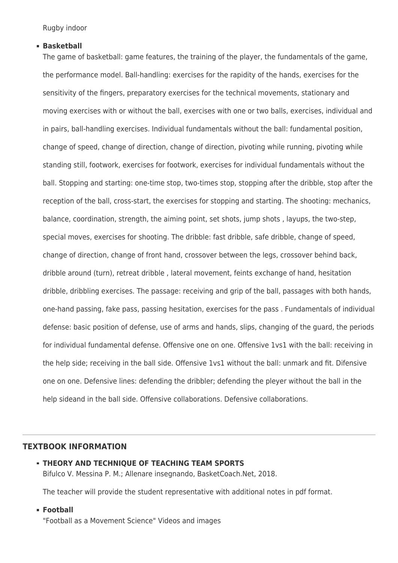Rugby indoor

#### **Basketball**

The game of basketball: game features, the training of the player, the fundamentals of the game, the performance model. Ball-handling: exercises for the rapidity of the hands, exercises for the sensitivity of the fingers, preparatory exercises for the technical movements, stationary and moving exercises with or without the ball, exercises with one or two balls, exercises, individual and in pairs, ball-handling exercises. Individual fundamentals without the ball: fundamental position, change of speed, change of direction, change of direction, pivoting while running, pivoting while standing still, footwork, exercises for footwork, exercises for individual fundamentals without the ball. Stopping and starting: one-time stop, two-times stop, stopping after the dribble, stop after the reception of the ball, cross-start, the exercises for stopping and starting. The shooting: mechanics, balance, coordination, strength, the aiming point, set shots, jump shots , layups, the two-step, special moves, exercises for shooting. The dribble: fast dribble, safe dribble, change of speed, change of direction, change of front hand, crossover between the legs, crossover behind back, dribble around (turn), retreat dribble , lateral movement, feints exchange of hand, hesitation dribble, dribbling exercises. The passage: receiving and grip of the ball, passages with both hands, one-hand passing, fake pass, passing hesitation, exercises for the pass . Fundamentals of individual defense: basic position of defense, use of arms and hands, slips, changing of the guard, the periods for individual fundamental defense. Offensive one on one. Offensive 1vs1 with the ball: receiving in the help side; receiving in the ball side. Offensive 1vs1 without the ball: unmark and fit. Difensive one on one. Defensive lines: defending the dribbler; defending the pleyer without the ball in the help sideand in the ball side. Offensive collaborations. Defensive collaborations.

#### **TEXTBOOK INFORMATION**

**THEORY AND TECHNIQUE OF TEACHING TEAM SPORTS** Bifulco V. Messina P. M.; Allenare insegnando, BasketCoach.Net, 2018.

The teacher will provide the student representative with additional notes in pdf format.

**Football**

"Football as a Movement Science" Videos and images